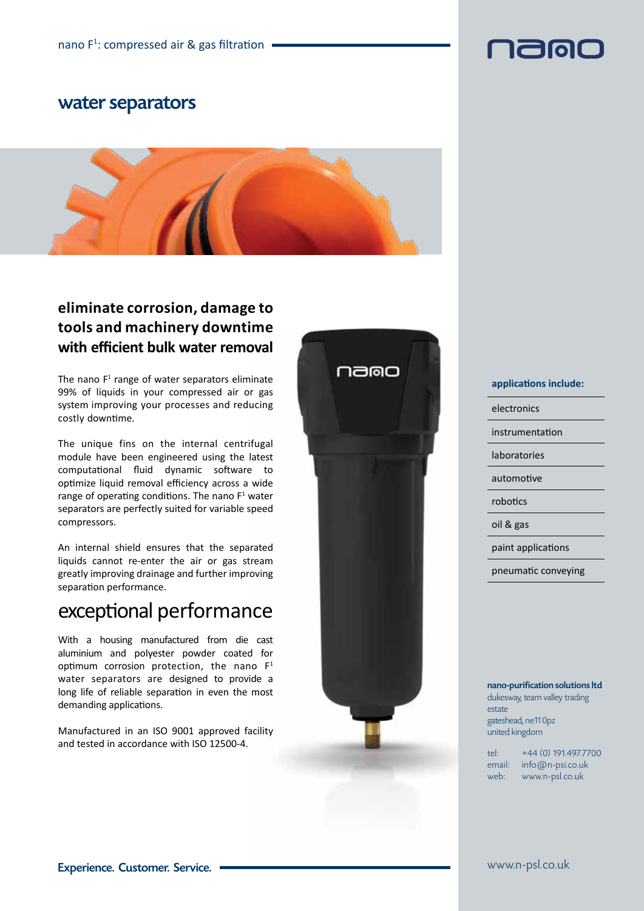### water separators



### **eliminate corrosion, damage to tools and machinery downtime with efficient bulk water removal**

The nano  $F<sup>1</sup>$  range of water separators eliminate 99% of liquids in your compressed air or gas system improving your processes and reducing costly downtime.

The unique fins on the internal centrifugal module have been engineered using the latest computational fluid dynamic software to optimize liquid removal efficiency across a wide range of operating conditions. The nano  $F<sup>1</sup>$  water separators are perfectly suited for variable speed compressors.

An internal shield ensures that the separated liquids cannot re-enter the air or gas stream greatly improving drainage and further improving separation performance.

## exceptional performance

With a housing manufactured from die cast aluminium and polyester powder coated for optimum corrosion protection, the nano  $F<sup>1</sup>$ water separators are designed to provide a long life of reliable separation in even the most demanding applications.

Manufactured in an ISO 9001 approved facility and tested in accordance with ISO 12500-4.



#### **applications include:**

electronics

instrumentation

laboratories

automotive

robotics

oil & gas

paint applications

pneumatic conveying

#### nano-purification solutions ltd dukesway, team valley trading estate gateshead, ne11 0pz united kingdom

tel: +44 (0) 191.497.7700 email: info@n-psi.co.uk web: www.n-psl.co.uk